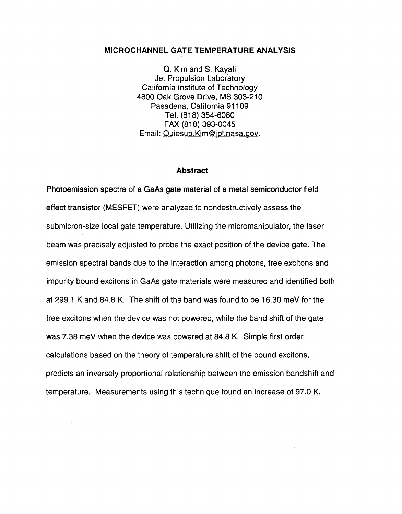### **MICROCHANNEL GATE TEMPERATURE ANALYSIS**

Q. Kim and S. Kayali Jet Propulsion Laboratory California Institute of Technology 4800 Oak Grove Drive, MS 303-210 Pasadena, California 91 109 Tel. (818) 354-6080 Email: Quiesup. Kim@ ipl.nasa.gov. FAX (818) 393-0045

### **Abstract**

Photoemission spectra of a GaAs gate material of a metal semiconductor field effect transistor (MESFET) were analyzed to nondestructively assess the submicron-size local gate temperature. Utilizing the micromanipulator, the laser beam was precisely adjusted to probe the exact position of the device gate. The emission spectral bands due to the interaction among photons, free excitons and impurity bound excitons in GaAs gate materials were measured and identified both at 299.1 K and 84.8 K. The shift of the band was found to be 16.30 meV for the free excitons when the device was not powered, while the band shift of the gate was 7.38 meV when the device was powered at 84.8 K. Simple first order calculations based on the theory of temperature shift of the bound excitons, predicts an inversely proportional relationship between the emission bandshift and temperature. Measurements using this technique found an increase of 97.0 K.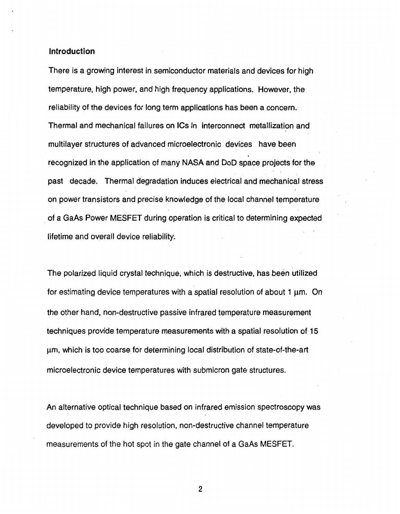### **Introduction**

There is a growing interest in semiconductor materials and devices for high temperature, high power, and high frequency applications. However, the reliability of the devices for long term applications has been a concern. Thermal and mechanical failures on ICs in interconnect metallization and multilayer structures of advanced microelectronic devices have been recognized in the application of many NASA and DoD space projects for the past decade. Thermal degradation induces electrical and mechanical stress on power transistors and precise knowledge of the local channel temperature of a GaAs Power MESFET during operation is critical to determining expected lifetime and overall device reliability.

The polarized liquid crystal technique, which is destructive, has been utilized for estimating device temperatures with a spatial resolution of about  $1 \mu m$ . On the other hand, non-destructive passive infrared temperature measurement techniques provide temperature measurements with a spatial resolution of **15**  pm, which is too coarse for determining local distribution of state-of-the-art microelectronic device temperatures with submicron gate structures.

An alternative optical technique based on infrared emission spectroscopy was developed to provide high resolution, non-destructive channel temperature measurements of the hot spot in the gate channel of a GaAs MESFET.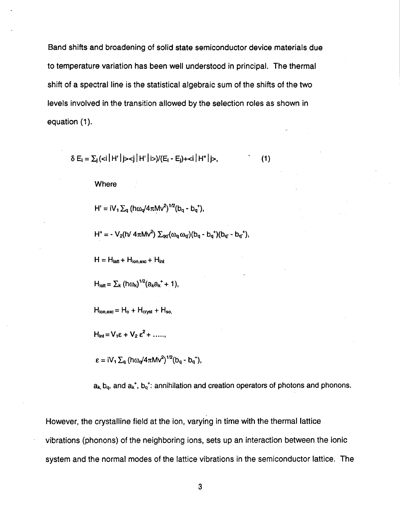Band shifts and broadening of solid state semiconductor device materials due to temperature variation has been well understood in principal. The thermal shift of a spectral line is the statistical algebraic sum of the shifts of the two levels involved in the transition allowed by the selection roles as shown in equation (1).

$$
\delta E_i = \sum_j (\langle i | H' | j \rangle \langle j | H' | i \rangle) / (E_i - E_j) + \langle i | H'' | j \rangle, \qquad (1)
$$

Where

H' =  $iV_1 \Sigma_q$  (ho<sub>o</sub>/4 $\pi Mv^2$ )<sup>1/2</sup>(b<sub>q</sub> - b<sub>q</sub><sup>+</sup>),

 $H'' = -V_2(h/4\pi Mv^2) \sum_{\alpha\alpha'}(\omega_{\alpha}\omega_{\alpha})(b_{\alpha} - b_{\alpha}^{\dagger})(b_{\alpha} - b_{\alpha}^{\dagger}),$ 

 $H = H<sub>latt</sub> + H<sub>ion,exc</sub> + H<sub>int</sub>$ 

 $H_{\text{latt}} = \sum_{k} (h \omega_k)^{1/2} (a_k a_k^+ + 1),$ 

 $H_{ion,exc} = H_o + H_{cryst} + H_{so.}$ 

 $H_{int} = V_1 \varepsilon + V_2 \varepsilon^2 + \dots$ 

 $\varepsilon = iV_1 \sum_q (h\omega_q/4\pi Mv^2)^{1/2} (b_q - b_q^+),$ 

 $a_k$ ,  $b_q$ , and  $a_k^*$ ,  $b_q^*$ : annihilation and creation operators of photons and phonons.

However, the crystalline field at the ion, varying in time with the thermal lattice vibrations (phonons) of the neighboring ions, sets up an interaction between the ionic system and the normal modes of the lattice vibrations in the semiconductor lattice. The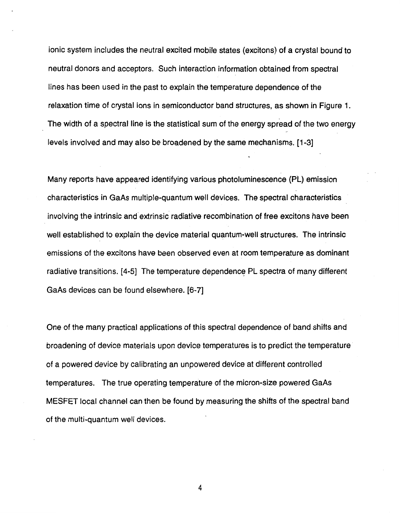ionic system includes the neutral excited mobile states (excitons) of a crystal bound to neutral donors and acceptors. Such interaction information obtained from spectral lines has been used in the past to explain the temperature dependence of the relaxation time of crystal ions in semiconductor band structures, as shown in [Figure](#page-15-0) **1.**  The width of a spectral line is the statistical sum of the energy spread of the two energy levels involved and may also be broadened by the same mechanisms. **[l-31** 

Many reports have appeared identifying various photoluminescence **(PL)** emission characteristics in GaAs multiple-quantum well devices. The spectral characteristics involving the intrinsic and'extrinsic radiative recombination of free excitons have been well established to explain the device material quantum-well structures. The intrinsic emissions of the excitons have been observed even at room temperature as dominant radiative transitions. **[4-51** The temperature dependence PL spectra of many different GaAs devices can be found elsewhere. **[6-71** 

One of the many practical applications of this spectral dependence of band shifts and broadening of device materials upon device temperatures is to predict the temperature of a powered device by calibrating an unpowered device at different controlled temperatures. The true operating temperature of the micron-size powered GaAs MESFET local channel can then be found by measuring the shifts of the spectral band of the multi-quantum well devices.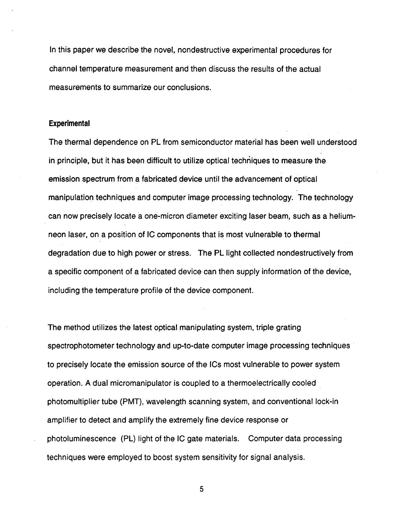In this paper we describe the novel, nondestructive experimental procedures for channel temperature measurement and then discuss the results of the actual measurements to summarize our conclusions.

#### **Experimental**

The thermal dependence on PL from semiconductor material has been well understood in principle, but it has been difficult to utilize optical techniques to measure the emission spectrum from a fabricated device until the advancement of optical manipulation techniques and computer image processing technology. The technology can now precisely locate a one-micron diameter exciting laser beam, such as a hetiumneon laser, on a position of IC components that is most vulnerable to thermal degradation due to high power or stress. The PL light collected nondestructively from a specific component of a fabricated device can then supply information of the device, including the temperature profile of the device component.

The method utilizes the latest optical manipulating system, triple grating spectrophotometer technology and up-to-date computer image processing techniques to precisely locate the emission source of the ICs most vulnerable to power system operation. **A** dual micromanipulator is coupled to a thermoelectrically cooled photomultiplier tube (PMT), wavelength scanning system, and conventional lock-in amplifier to detect and amplify the extremely fine device response or photoluminescence (PL) light of the IC gate materials. Computer data processing techniques were employed to boost system sensitivity for signal analysis.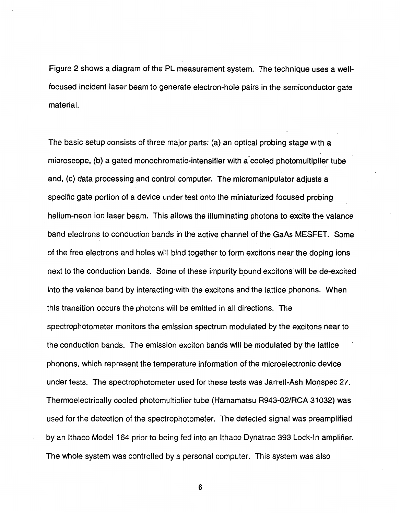[Figure 2](#page-15-0) shows a diagram of the PL measurement system. The technique uses a wellfocused incident laser beam to generate electron-hole pairs in the semiconductor gate material.

The basic setup consists of three major parts: (a) an optical probing stage with a microscope, (b) a gated monochromatic-intensifier with a'cooled photomultiplier tube and, (c) data processing and control computer. The micromanipulator adjusts a specific gate portion of a device under test onto the miniaturized focused probing helium-neon ion laser beam. This allows the illuminating photons to excite the valance band electrons to conduction bands in the active channel of the GaAs MESFET. Some of the free electrons and holes will bind together to form excitons near the doping ions next to the conduction bands. Some of these impurity bound excitons will be de-excited into the valence band by interacting with the excitons and the lattice phonons. When this transition occurs the photons will be emitted in all directions. The spectrophotometer monitors the emission spectrum modulated by the excitons near to the conduction bands. The emission exciton bands will be modulated by the lattice phonons, which represent the temperature information of the microelectronic device under tests. The spectrophotometer used for these tests was Jarrell-Ash Monspec **27.**  Thermoelectrically cooled photomultiplier tube (Hamamatsu R943-02/RCA **31** 032) was used for the detection of the spectrophotometer. The detected signal was preamplified by an lthaco Model **164** prior to being fed into an lthaco Dynatrac 393 Lock-In amplifier. The whole system was controlled by a personal computer. This system was also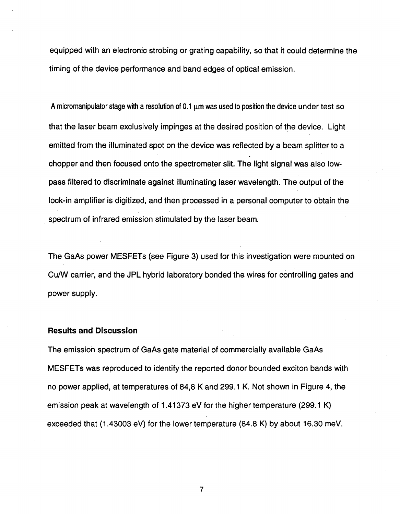equipped with an electronic strobing or grating capability, so that it could determine the timing of the device performance and band edges of optical emission.

A micromanipulator stage with a resolution of 0.1  $\mu$ m was used to position the device under test so that the laser beam exclusively impinges at the desired position of the device. Light emitted from the illuminated spot on the device was reflected by a beam splitter to a chopper and then focused onto the spectrometer slit. The light signal was also lowpass filtered to discriminate against illuminating laser wavelength. The output of the lock-in amplifier is digitized, and then processed in a personal computer to obtain the spectrum of infrared emission stimulated by the laser beam.

The GaAs power MESFETs (see Figure **3)** used for this investigation were mounted on CUM carrier, and the JPL hybrid laboratory bonded the wires for controlling gates and power supply.

## **Results and Discussion**

The emission spectrum of GaAs gate material of commercially available GaAs MESFETs was reproduced to identify the reported donor bounded exciton bands with no power applied, at temperatures of **84,8 K** and **299.1 K.** Not shown in Figure **4,** the emission peak at wavelength of **1.41 373** eV for the higher temperature **(299.1 K)**  exceeded that **(1.43003** eV) for the lower temperature **(84.8 K)** by about **16.30** meV.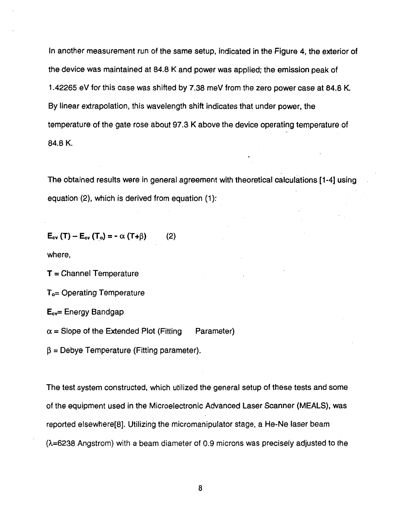In another measurement run of the same setup, indicated in the Figure 4, the exterior of the device was maintained at 84.8 K and power was applied; the emission peak of 1.42265 eV for this case was shifted by 7.38 meV from the zero power case at 84.8 K. By linear extrapolation, this wavelength shift indicates that under power, the temperature of the gate rose about **97.3** K above the device operating temperature of 84.0 K.

The obtained results were in general agreement with theoretical calculations [1-4] using equation **(2),** which is derived from equation **(1):** 

 $E_{\text{cv}}(T) - E_{\text{cv}}(T_{\text{o}}) = -\alpha (T+\beta)$  $(2)$ 

where,

**T** = Channel Temperature

**To=** Operating Temperature

**E,,,=** Energy Bandgap

 $\alpha$  = Slope of the Extended Plot (Fitting Parameter)

 $\beta$  = Debye Temperature (Fitting parameter).

The test system constructed, which utilized the general setup of these tests and some of the equipment used in the Microelectronic Advanced Laser Scanner (MEALS), was reported elsewhere[8]. Utilizing the micromanipulator stage, a He-Ne laser beam (h=6238 Angstrom) with a beam diameter of 0.9 microns was precisely adjusted to the

a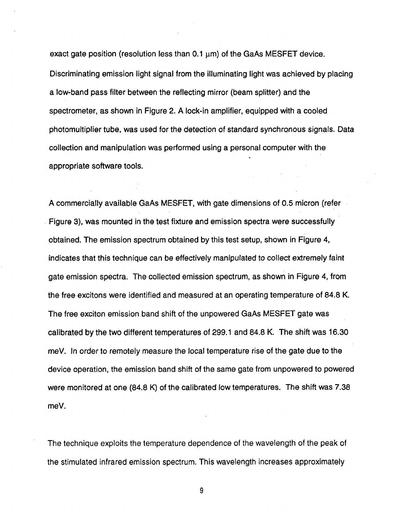exact gate position (resolution less than  $0.1 \mu m$ ) of the GaAs MESFET device. Discriminating emission light signal from the illuminating light was achieved by placing a low-band pass filter between the reflecting mirror (beam splitter) and the spectrometer, as shown in [Figure](#page-15-0) **2. A** lock-in amplifier, equipped with a cooled photomultiplier tube, was used for the detection of standard synchronous signals. Data collection and manipulation was performed using a personal computer with the appropriate software tools.

**A** commercially available GaAs MESFET, with gate dimensions of *0.5* micron (refer Figure **3),** was mounted in the test fixture and emission spectra were successfully obtained. The emission spectrum obtained by this test setup, shown in Figure **4,**  indicates that this technique can be effectively manipulated to collect extremely faint gate emission spectra. The collected emission spectrum, as shown in Figure **4,** from the free excitons were identified and measured at an operating temperature of **84.8 K.**  The free exciton emission band shift of the unpowered GaAs MESFET gate was calibrated **by** the two different temperatures of 299.1 and **84.8** K. The shift was **16.30**  meV. In order to remotely measure the local temperature rise ofthe gate due to the device operation, the emission band shift of the same gate from unpowered to powered were monitored at one **(84.8** K) of the calibrated low temperatures. The shift was **7.38**  meV.

The technique exploits the temperature dependence of the wavelength of the peak of the stimulated infrared emission spectrum. This wavelength increases approximately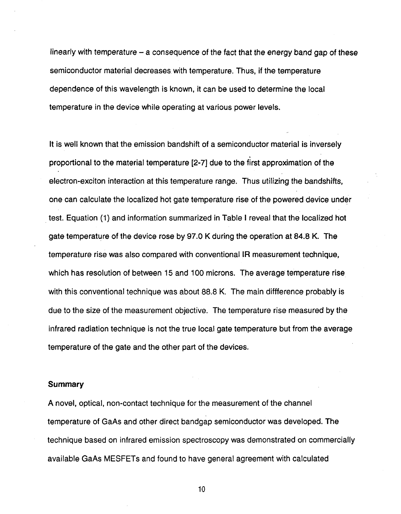linearly with temperature  $-$  a consequence of the fact that the energy band gap of these semiconductor material decreases. with temperature. Thus, if the temperature dependence of this wavelength is known, it can be used to determine the local temperature in the device while operating at various power levels.

It is well known that the emission bandshift of a semiconductor material is inversely proportional to the material temperature **[2-71** due to the first approximation of the electron-exciton interaction at this temperature range. Thus utilizing the bandshifts, one can calculate the localized hot gate temperature rise of the powered device under test. Equation (1) and information summarized in Table **I** reveal that the localized hot gate temperature of the device rose by 97.0 K during the operation at **84.8 K.** The temperature rise was also compared with conventional **IR** measurement technique, which has resolution of between **15** and 100 microns. The average' temperature rise with this conventional technique was about 88.8 K. The main diffference probably is due to the size of the measurement objective. The temperature rise measured by the infrared radiation technique is not the true local gate temperature but from the average temperature of the gate and the other part of the devices.

### **Summary**

**A** novel, optical, non-contact technique for the measurement of the channel temperature of GaAs and other direct bandgap semiconductor was developed. The technique based on infrared emission spectroscopy was demonstrated on commercially available GaAs MESFETs and found to have general agreement with calculated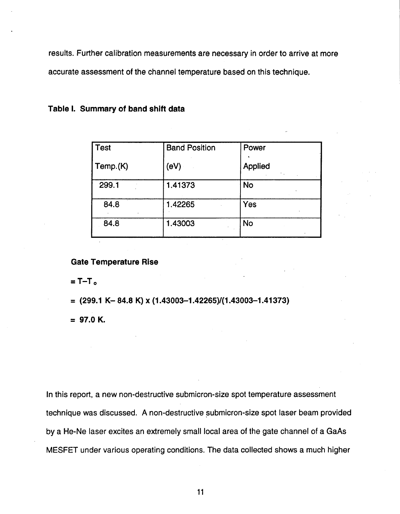results. Further calibration measurements are necessary in order to arrive at more accurate assessment of the channel temperature based on this technique.

| <b>Test</b> | <b>Band Position</b> | Power                |
|-------------|----------------------|----------------------|
| Temp.(K)    | (eV)                 | <b>Applied</b><br>A. |
| 299.1       | 1.41373              | <b>No</b>            |
| 84.8        | 1.42265              | Yes                  |
| 84.8        | 1.43003              | <b>No</b>            |

## **Table 1. Summary of band shift data**

### **Gate Temperature Rise**

 $= T-T<sub>0</sub>$ 

# = **(299.1 K- 84.8 K) X (1.43003-1.42265)/(1.43003-1.41373)**

= **97.0 K.** 

In this report, a new non-destructive submicron-size spot temperature assessment technique was discussed. A non-destructive submicron-size spot laser beam provided by a He-Ne laser excites an extremely small local area of the gate channel of a GaAs MESFET under various operating conditions. The data collected shows a much higher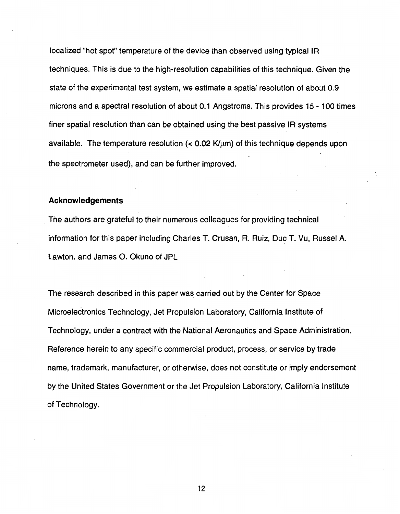localized "hot spot" temperature of the device than observed using typical IR techniques. This is due to the high-resolution capabilities of this technique. Given the state of the experimental test system, we estimate a spatial resolution of about 0.9 microns and a spectral resolution of about 0.1 Angstroms. This provides **15** - 100 times finer spatial resolution than can be obtained using the best passive **IR** systems available. The temperature resolution  $\left($  < 0.02 K/ $\mu$ m) of this technique depends upon the spectrometer used), and can be further improved.

### **Acknowledgements**

The authors are grateful to their numerous colleagues for providing technical information for. this paper including Charles T. Crusan, **R.** Ruiz, Duc T. Vu, Russel A. Lawton. and James 0. Okuno of JPL

The research described in this paper was carried out by the Center for Space Microelectronics Technology, Jet Propulsion Laboratory, California Institute of Technology, under a contract with the National Aeronautics and Space Administration. Reference herein to any specific commercial product, process, or service by trade name, trademark, manufacturer, or otherwise, does not constitute or imply endorsement by the United States Government or the Jet Propulsion Laboratory, California Institute of Technology.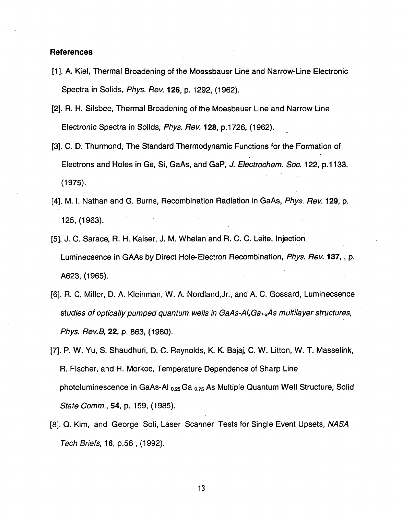## **References**

- [1]. A. Kiel, Thermal Broadening of the Moessbauer Line and Narrow-Line Electronic Spectra in Solids, *Phys. Rev.* **126**, p. 1292, (1962).
- [2]. **R.** H. Silsbee, Thermal Broadening of the Moesbauer Line and Narrow Line Electronic Spectra in Solids, *Phys. Rev.* **128,** p. 1726, (1 962).
- [3]. C. **D.** Thurmond, The Standard Thermodynamic Functions for the Formation of Electrons and Holes in Ge, Si, GaAs, and Gap, *J. Electrochem. SOC.* 122, p. 1 133,  $(1975).$
- **[4].** M. **1.** Nathan and G. Burns, Recombination Radiation in GaAs, *Phys. Rev.* **129,** p. 125, (1 963).
- [5]. J. C. Sarace, R. H. Kaiser, J. M. Whelan and R. C. C. Leite, Injection Luminecsence in GAAs by Direct Hole-Electron Recombination, *Phys. Rev.* **137,** , **p.**  A623, (1965).
- [6]. **R.** C. Miller, D. A. Kleinman, W. A. Nordland,Jr., and **A.** C. Gossard, Luminecsence studies of optically pumped quantum wells in GaAs-Al<sub>x</sub>Ga<sub>1-x</sub>As multilayer structures, *Phys. Rev&* **22, p.** 863, (1980).
- **[7].** P. W. Yu, *S.* Shaudhuri, D. C. Reynolds, K. K. Bajaj, C. W. Litton, W. T. Masselink, R. Fischer, and H. Morkoc, Temperature Dependence of Sharp Line photoluminescence in GaAs-AI **0.25** Ga *0.75* As Multiple Quantum Well Structure, Solid *State Comm.,* **54, p.** 159, (1985).
- [8]. *Q.* Kim, and George Soli, Laser Scanner Tests for Single Event Upsets, *NASA Tech Briefs,* **16,** p.56 , (1992).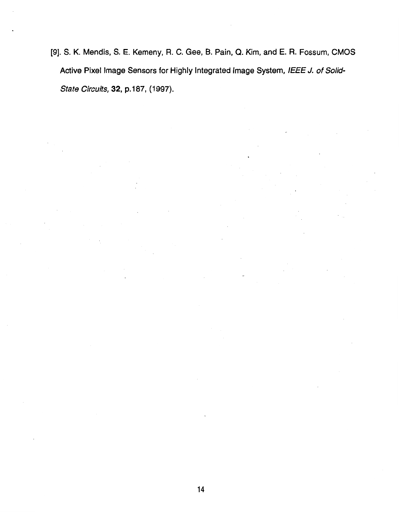**[9]. S. K. Mendis,** S. **E. Kemeny, R.** C. **Gee, B. Pain,** *Q.* **Kim, and E. R. Fossum,** CMOS **Active Pixel Image Sensors for Highly Integrated Image System,** */E€€ J. of Solid-State Circuits*, **32**, p.187, (1997).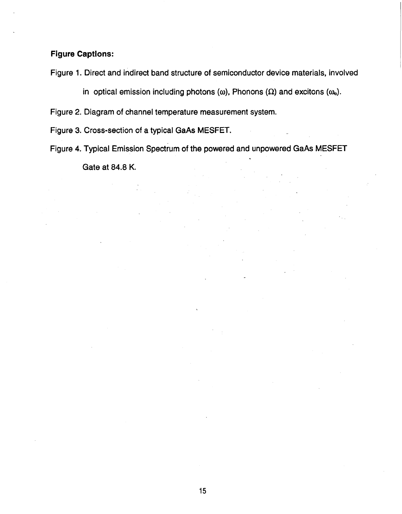# **Figure Captions:**

[Figure](#page-15-0) **1.** Direct and indirect band structure of semiconductor device materials, involved

in optical emission including photons  $(\omega)$ , Phonons  $(\Omega)$  and excitons  $(\omega_0)$ .

[Figure](#page-15-0) **2.** Diagram of channel temperature measurement system.

[Figure](#page-16-0) *3.* Cross-section of a typical GaAs MESFET.

[Figure](#page-16-0) **4.** Typical Emission Spectrum of the powered and unpowered GaAs MESFET Gate at **84.8** K.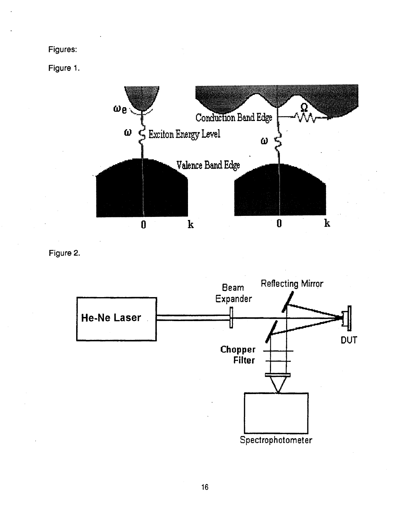<span id="page-15-0"></span>**Figures:** 

**Figure 1.** 



**Figure 2.**